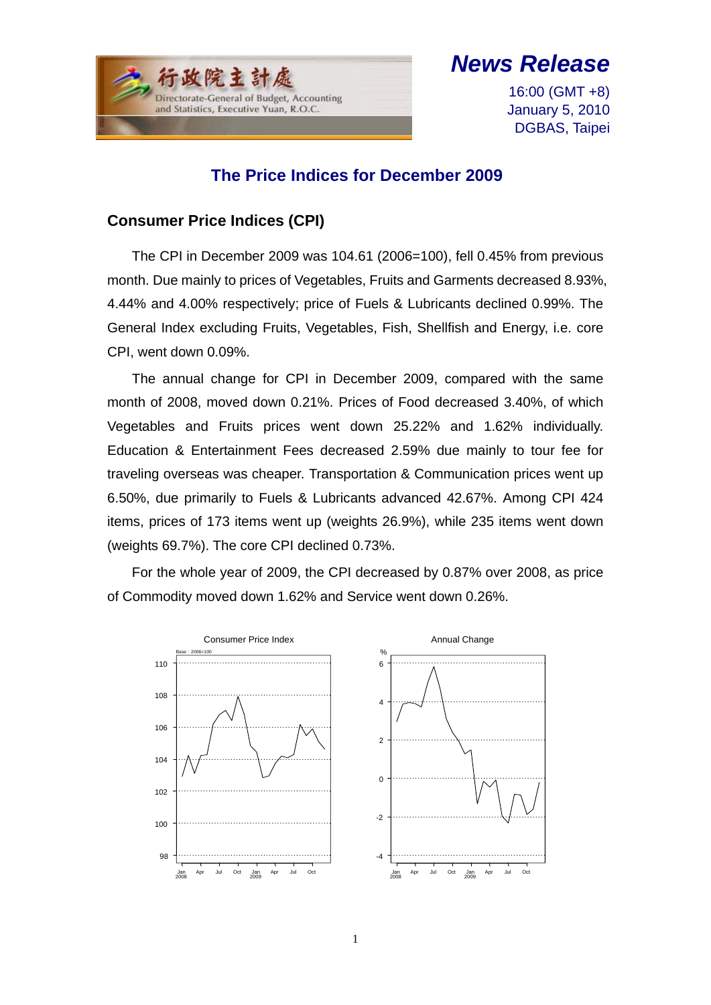

*News Release*

16:00 (GMT +8) January 5, 2010 DGBAS, Taipei

### **The Price Indices for December 2009**

### **Consumer Price Indices (CPI)**

The CPI in December 2009 was 104.61 (2006=100), fell 0.45% from previous month. Due mainly to prices of Vegetables, Fruits and Garments decreased 8.93%, 4.44% and 4.00% respectively; price of Fuels & Lubricants declined 0.99%. The General Index excluding Fruits, Vegetables, Fish, Shellfish and Energy, i.e. core CPI, went down 0.09%.

The annual change for CPI in December 2009, compared with the same month of 2008, moved down 0.21%. Prices of Food decreased 3.40%, of which Vegetables and Fruits prices went down 25.22% and 1.62% individually. Education & Entertainment Fees decreased 2.59% due mainly to tour fee for traveling overseas was cheaper. Transportation & Communication prices went up 6.50%, due primarily to Fuels & Lubricants advanced 42.67%. Among CPI 424 items, prices of 173 items went up (weights 26.9%), while 235 items went down (weights 69.7%). The core CPI declined 0.73%.

For the whole year of 2009, the CPI decreased by 0.87% over 2008, as price of Commodity moved down 1.62% and Service went down 0.26%.

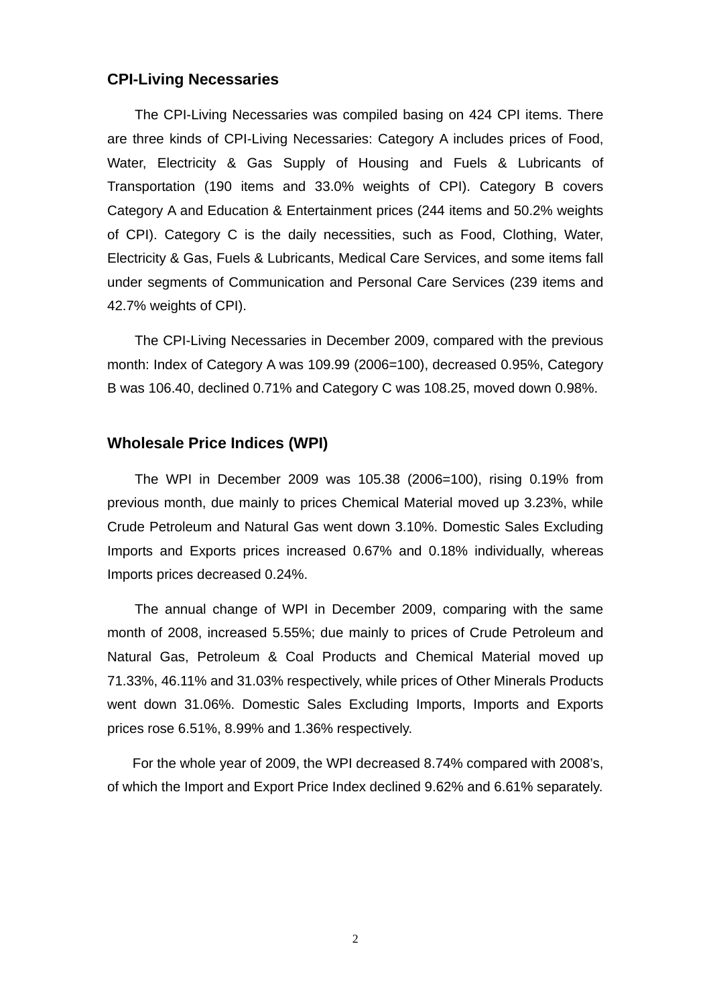#### **CPI-Living Necessaries**

The CPI-Living Necessaries was compiled basing on 424 CPI items. There are three kinds of CPI-Living Necessaries: Category A includes prices of Food, Water, Electricity & Gas Supply of Housing and Fuels & Lubricants of Transportation (190 items and 33.0% weights of CPI). Category B covers Category A and Education & Entertainment prices (244 items and 50.2% weights of CPI). Category C is the daily necessities, such as Food, Clothing, Water, Electricity & Gas, Fuels & Lubricants, Medical Care Services, and some items fall under segments of Communication and Personal Care Services (239 items and 42.7% weights of CPI).

The CPI-Living Necessaries in December 2009, compared with the previous month: Index of Category A was 109.99 (2006=100), decreased 0.95%, Category B was 106.40, declined 0.71% and Category C was 108.25, moved down 0.98%.

#### **Wholesale Price Indices (WPI)**

The WPI in December 2009 was 105.38 (2006=100), rising 0.19% from previous month, due mainly to prices Chemical Material moved up 3.23%, while Crude Petroleum and Natural Gas went down 3.10%. Domestic Sales Excluding Imports and Exports prices increased 0.67% and 0.18% individually, whereas Imports prices decreased 0.24%.

The annual change of WPI in December 2009, comparing with the same month of 2008, increased 5.55%; due mainly to prices of Crude Petroleum and Natural Gas, Petroleum & Coal Products and Chemical Material moved up 71.33%, 46.11% and 31.03% respectively, while prices of Other Minerals Products went down 31.06%. Domestic Sales Excluding Imports, Imports and Exports prices rose 6.51%, 8.99% and 1.36% respectively.

For the whole year of 2009, the WPI decreased 8.74% compared with 2008's, of which the Import and Export Price Index declined 9.62% and 6.61% separately.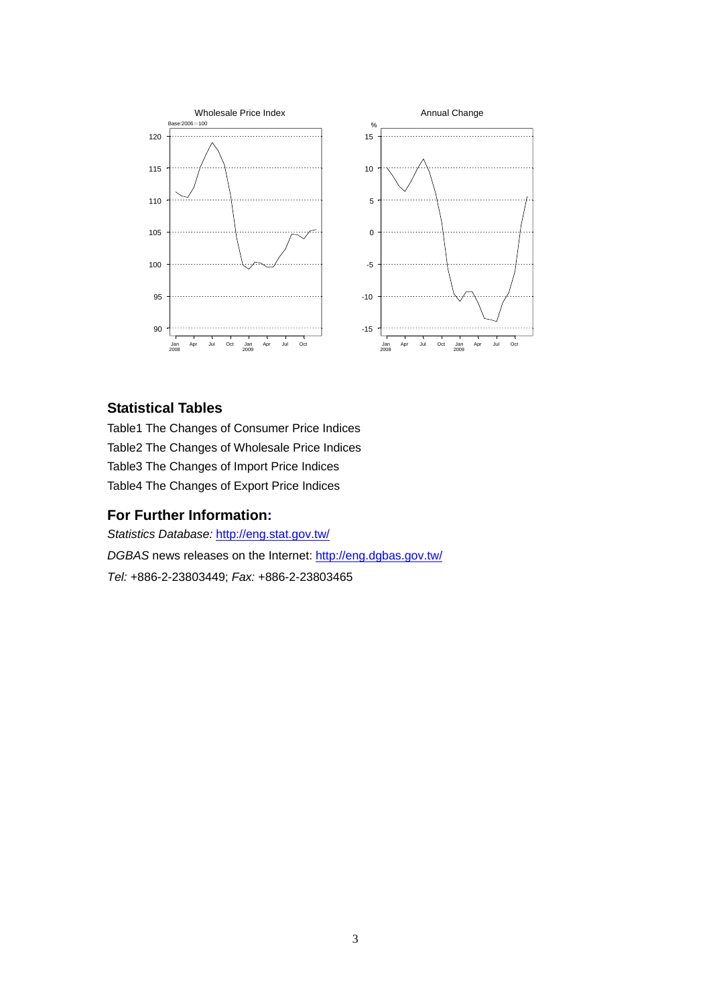

#### **Statistical Tables**

Table1 The Changes of Consumer Price Indices Table2 The Changes of Wholesale Price Indices Table3 The Changes of Import Price Indices Table4 The Changes of Export Price Indices

#### **For Further Information:**

*Statistics Database:* http://eng.stat.gov.tw/ *DGBAS* news releases on the Internet: http://eng.dgbas.gov.tw/ *Tel:* +886-2-23803449; *Fax:* +886-2-23803465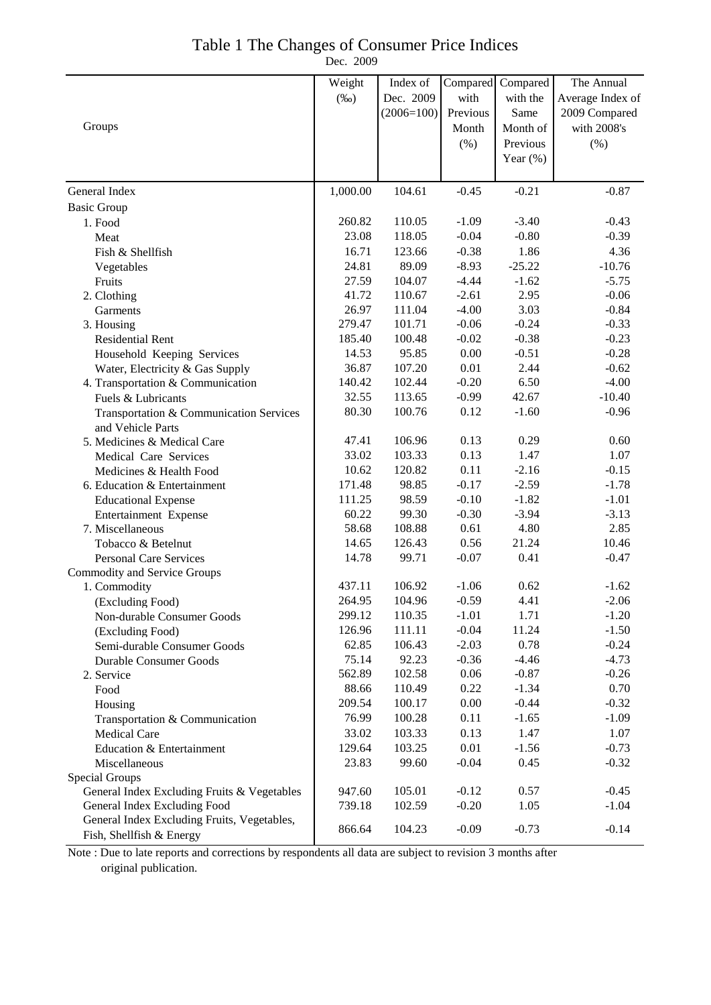#### Table 1 The Changes of Consumer Price Indices

Dec. 2009

|                                                     | Weight         | Index of        | Compared        | Compared        | The Annual       |
|-----------------------------------------------------|----------------|-----------------|-----------------|-----------------|------------------|
|                                                     | $(\%0)$        | Dec. 2009       | with            | with the        | Average Index of |
|                                                     |                | $(2006=100)$    | Previous        | Same            | 2009 Compared    |
| Groups                                              |                |                 | Month           | Month of        | with 2008's      |
|                                                     |                |                 | $(\% )$         | Previous        | $(\% )$          |
|                                                     |                |                 |                 | Year $(\%)$     |                  |
|                                                     |                |                 |                 |                 |                  |
| General Index                                       | 1,000.00       | 104.61          | $-0.45$         | $-0.21$         | $-0.87$          |
| <b>Basic Group</b>                                  |                |                 |                 |                 |                  |
| 1. Food                                             | 260.82         | 110.05          | $-1.09$         | $-3.40$         | $-0.43$          |
| Meat                                                | 23.08          | 118.05          | $-0.04$         | $-0.80$         | $-0.39$          |
| Fish & Shellfish                                    | 16.71          | 123.66          | $-0.38$         | 1.86            | 4.36             |
| Vegetables                                          | 24.81          | 89.09           | $-8.93$         | $-25.22$        | $-10.76$         |
| Fruits                                              | 27.59          | 104.07          | $-4.44$         | $-1.62$         | $-5.75$          |
| 2. Clothing                                         | 41.72          | 110.67          | $-2.61$         | 2.95            | $-0.06$          |
| Garments                                            | 26.97          | 111.04          | $-4.00$         | 3.03            | $-0.84$          |
| 3. Housing                                          | 279.47         | 101.71          | $-0.06$         | $-0.24$         | $-0.33$          |
| <b>Residential Rent</b>                             | 185.40         | 100.48          | $-0.02$         | $-0.38$         | $-0.23$          |
| Household Keeping Services                          | 14.53          | 95.85           | 0.00            | $-0.51$         | $-0.28$          |
| Water, Electricity & Gas Supply                     | 36.87          | 107.20          | 0.01            | 2.44            | $-0.62$          |
| 4. Transportation & Communication                   | 140.42         | 102.44          | $-0.20$         | 6.50            | $-4.00$          |
| Fuels & Lubricants                                  | 32.55          | 113.65          | $-0.99$         | 42.67           | $-10.40$         |
| Transportation & Communication Services             | 80.30          | 100.76          | 0.12            | $-1.60$         | $-0.96$          |
| and Vehicle Parts                                   |                |                 |                 |                 |                  |
| 5. Medicines & Medical Care                         | 47.41          | 106.96          | 0.13            | 0.29            | 0.60             |
| Medical Care Services                               | 33.02          | 103.33          | 0.13            | 1.47            | 1.07             |
| Medicines & Health Food                             | 10.62          | 120.82          | 0.11            | $-2.16$         | $-0.15$          |
| 6. Education & Entertainment                        | 171.48         | 98.85           | $-0.17$         | $-2.59$         | $-1.78$          |
| <b>Educational Expense</b>                          | 111.25         | 98.59           | $-0.10$         | $-1.82$         | $-1.01$          |
| Entertainment Expense                               | 60.22<br>58.68 | 99.30<br>108.88 | $-0.30$<br>0.61 | $-3.94$<br>4.80 | $-3.13$<br>2.85  |
| 7. Miscellaneous                                    | 14.65          | 126.43          | 0.56            | 21.24           | 10.46            |
| Tobacco & Betelnut<br><b>Personal Care Services</b> | 14.78          | 99.71           | $-0.07$         | 0.41            | $-0.47$          |
| Commodity and Service Groups                        |                |                 |                 |                 |                  |
| 1. Commodity                                        | 437.11         | 106.92          | $-1.06$         | 0.62            | $-1.62$          |
| (Excluding Food)                                    | 264.95         | 104.96          | $-0.59$         | 4.41            | $-2.06$          |
| Non-durable Consumer Goods                          | 299.12         | 110.35          | $-1.01$         | 1.71            | $-1.20$          |
| (Excluding Food)                                    | 126.96         | 111.11          | $-0.04$         | 11.24           | $-1.50$          |
| Semi-durable Consumer Goods                         | 62.85          | 106.43          | $-2.03$         | 0.78            | $-0.24$          |
| <b>Durable Consumer Goods</b>                       | 75.14          | 92.23           | $-0.36$         | $-4.46$         | $-4.73$          |
| 2. Service                                          | 562.89         | 102.58          | 0.06            | $-0.87$         | $-0.26$          |
| Food                                                | 88.66          | 110.49          | 0.22            | $-1.34$         | 0.70             |
| Housing                                             | 209.54         | 100.17          | 0.00            | $-0.44$         | $-0.32$          |
| Transportation & Communication                      | 76.99          | 100.28          | 0.11            | $-1.65$         | $-1.09$          |
| <b>Medical Care</b>                                 | 33.02          | 103.33          | 0.13            | 1.47            | 1.07             |
| Education & Entertainment                           | 129.64         | 103.25          | 0.01            | $-1.56$         | $-0.73$          |
| Miscellaneous                                       | 23.83          | 99.60           | $-0.04$         | 0.45            | $-0.32$          |
| Special Groups                                      |                |                 |                 |                 |                  |
| General Index Excluding Fruits & Vegetables         | 947.60         | 105.01          | $-0.12$         | 0.57            | $-0.45$          |
| General Index Excluding Food                        | 739.18         | 102.59          | $-0.20$         | 1.05            | $-1.04$          |
| General Index Excluding Fruits, Vegetables,         | 866.64         | 104.23          | $-0.09$         | $-0.73$         | $-0.14$          |
| Fish, Shellfish & Energy                            |                |                 |                 |                 |                  |

Note : Due to late reports and corrections by respondents all data are subject to revision 3 months after original publication.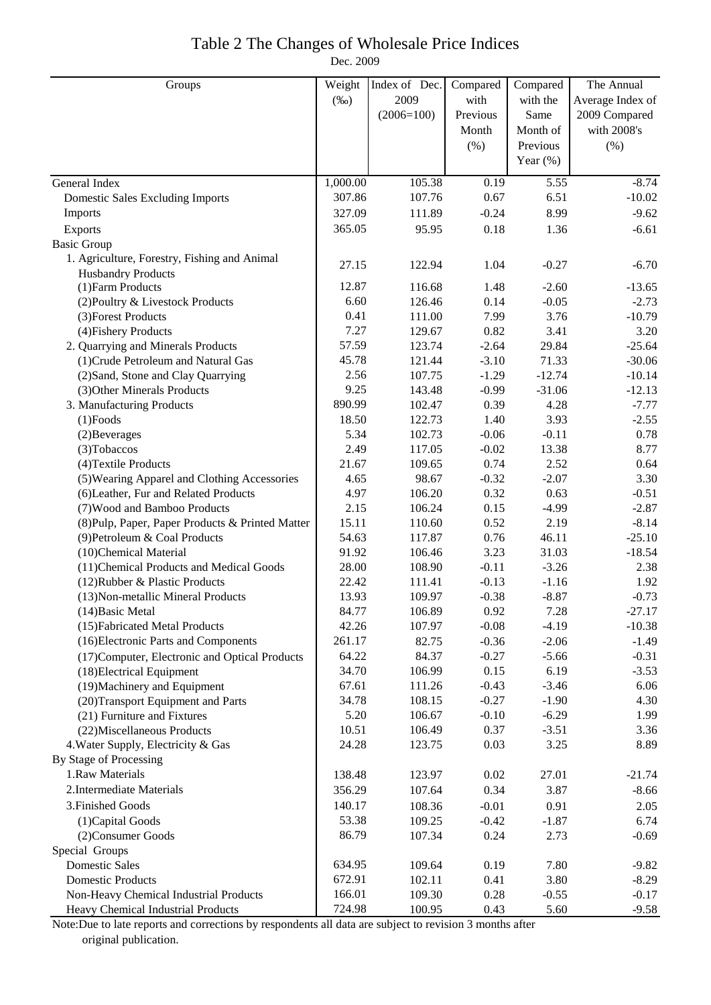## Table 2 The Changes of Wholesale Price Indices

Dec. 2009

| Groups                                           | Weight   | Index of Dec. | Compared | Compared    | The Annual       |
|--------------------------------------------------|----------|---------------|----------|-------------|------------------|
|                                                  | $(\%0)$  | 2009          | with     | with the    | Average Index of |
|                                                  |          | $(2006=100)$  | Previous | Same        | 2009 Compared    |
|                                                  |          |               | Month    | Month of    | with 2008's      |
|                                                  |          |               | (% )     | Previous    | $(\% )$          |
|                                                  |          |               |          | Year $(\%)$ |                  |
| General Index                                    | 1,000.00 | 105.38        | 0.19     | 5.55        | $-8.74$          |
| <b>Domestic Sales Excluding Imports</b>          | 307.86   | 107.76        | 0.67     | 6.51        | $-10.02$         |
| Imports                                          | 327.09   | 111.89        | $-0.24$  | 8.99        | $-9.62$          |
| Exports                                          | 365.05   | 95.95         | 0.18     | 1.36        | $-6.61$          |
| <b>Basic Group</b>                               |          |               |          |             |                  |
| 1. Agriculture, Forestry, Fishing and Animal     | 27.15    | 122.94        | 1.04     | $-0.27$     | $-6.70$          |
| <b>Husbandry Products</b>                        |          |               |          |             |                  |
| (1) Farm Products                                | 12.87    | 116.68        | 1.48     | $-2.60$     | $-13.65$         |
| (2) Poultry & Livestock Products                 | 6.60     | 126.46        | 0.14     | $-0.05$     | $-2.73$          |
| (3) Forest Products                              | 0.41     | 111.00        | 7.99     | 3.76        | $-10.79$         |
| (4) Fishery Products                             | 7.27     | 129.67        | 0.82     | 3.41        | 3.20             |
| 2. Quarrying and Minerals Products               | 57.59    | 123.74        | $-2.64$  | 29.84       | $-25.64$         |
| (1) Crude Petroleum and Natural Gas              | 45.78    | 121.44        | $-3.10$  | 71.33       | $-30.06$         |
| (2) Sand, Stone and Clay Quarrying               | 2.56     | 107.75        | $-1.29$  | $-12.74$    | $-10.14$         |
| (3) Other Minerals Products                      | 9.25     | 143.48        | $-0.99$  | $-31.06$    | $-12.13$         |
| 3. Manufacturing Products                        | 890.99   | 102.47        | 0.39     | 4.28        | $-7.77$          |
| $(1)$ Foods                                      | 18.50    | 122.73        | 1.40     | 3.93        | $-2.55$          |
| (2) Beverages                                    | 5.34     | 102.73        | $-0.06$  | $-0.11$     | 0.78             |
| (3) Tobaccos                                     | 2.49     | 117.05        | $-0.02$  | 13.38       | 8.77             |
| (4) Textile Products                             | 21.67    | 109.65        | 0.74     | 2.52        | 0.64             |
| (5) Wearing Apparel and Clothing Accessories     | 4.65     | 98.67         | $-0.32$  | $-2.07$     | 3.30             |
| (6) Leather, Fur and Related Products            | 4.97     | 106.20        | 0.32     | 0.63        | $-0.51$          |
| (7) Wood and Bamboo Products                     | 2.15     | 106.24        | 0.15     | $-4.99$     | $-2.87$          |
| (8) Pulp, Paper, Paper Products & Printed Matter | 15.11    | 110.60        | 0.52     | 2.19        | $-8.14$          |
| (9) Petroleum & Coal Products                    | 54.63    | 117.87        | 0.76     | 46.11       | $-25.10$         |
| (10)Chemical Material                            | 91.92    | 106.46        | 3.23     | 31.03       | $-18.54$         |
| (11) Chemical Products and Medical Goods         | 28.00    | 108.90        | $-0.11$  | $-3.26$     | 2.38             |
| (12) Rubber & Plastic Products                   | 22.42    | 111.41        | $-0.13$  | $-1.16$     | 1.92             |
| (13) Non-metallic Mineral Products               | 13.93    | 109.97        | $-0.38$  | $-8.87$     | $-0.73$          |
| $(14)$ Basic Metal                               | 84.77    | 106.89        | 0.92     | 7.28        | $-27.17$         |
| (15) Fabricated Metal Products                   | 42.26    | 107.97        | $-0.08$  | $-4.19$     | $-10.38$         |
| (16) Electronic Parts and Components             | 261.17   | 82.75         | $-0.36$  | $-2.06$     | $-1.49$          |
| (17) Computer, Electronic and Optical Products   | 64.22    | 84.37         | $-0.27$  | $-5.66$     | $-0.31$          |
| (18) Electrical Equipment                        | 34.70    | 106.99        | 0.15     | 6.19        | $-3.53$          |
| (19) Machinery and Equipment                     | 67.61    | 111.26        | $-0.43$  | $-3.46$     | 6.06             |
| (20) Transport Equipment and Parts               | 34.78    | 108.15        | $-0.27$  | $-1.90$     | 4.30             |
| (21) Furniture and Fixtures                      | 5.20     | 106.67        | $-0.10$  | $-6.29$     | 1.99             |
| (22) Miscellaneous Products                      | 10.51    | 106.49        | 0.37     | $-3.51$     | 3.36             |
| 4. Water Supply, Electricity & Gas               | 24.28    | 123.75        | 0.03     | 3.25        | 8.89             |
| By Stage of Processing                           |          |               |          |             |                  |
| 1.Raw Materials                                  | 138.48   | 123.97        | 0.02     | 27.01       | $-21.74$         |
| 2. Intermediate Materials                        | 356.29   | 107.64        | 0.34     | 3.87        | $-8.66$          |
| 3. Finished Goods                                | 140.17   | 108.36        | $-0.01$  | 0.91        | 2.05             |
| (1) Capital Goods                                | 53.38    | 109.25        | $-0.42$  | $-1.87$     | 6.74             |
| (2) Consumer Goods                               | 86.79    | 107.34        | 0.24     | 2.73        | $-0.69$          |
| Special Groups                                   |          |               |          |             |                  |
| <b>Domestic Sales</b>                            | 634.95   | 109.64        | 0.19     | 7.80        | $-9.82$          |
| <b>Domestic Products</b>                         | 672.91   | 102.11        | 0.41     | 3.80        | $-8.29$          |
| Non-Heavy Chemical Industrial Products           | 166.01   | 109.30        | 0.28     | $-0.55$     | $-0.17$          |
| Heavy Chemical Industrial Products               | 724.98   | 100.95        | 0.43     | 5.60        | $-9.58$          |

Note:Due to late reports and corrections by respondents all data are subject to revision 3 months after original publication.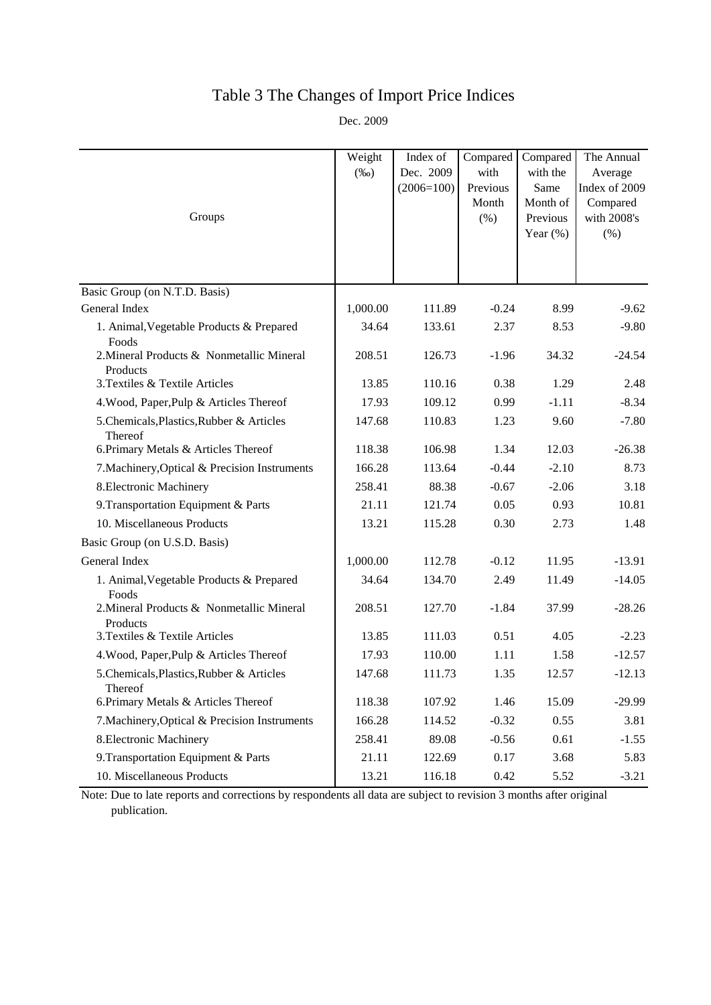# Table 3 The Changes of Import Price Indices

Dec. 2009

| Groups                                                | Weight<br>$(\%0)$ | Index of<br>Dec. 2009<br>$(2006=100)$ | Compared<br>with<br>Previous<br>Month<br>(% ) | Compared<br>with the<br>Same<br>Month of<br>Previous<br>Year $(\%)$ | The Annual<br>Average<br>Index of 2009<br>Compared<br>with 2008's<br>$(\% )$ |
|-------------------------------------------------------|-------------------|---------------------------------------|-----------------------------------------------|---------------------------------------------------------------------|------------------------------------------------------------------------------|
|                                                       |                   |                                       |                                               |                                                                     |                                                                              |
| Basic Group (on N.T.D. Basis)                         |                   |                                       |                                               |                                                                     |                                                                              |
| General Index                                         | 1,000.00          | 111.89                                | $-0.24$                                       | 8.99                                                                | $-9.62$                                                                      |
| 1. Animal, Vegetable Products & Prepared<br>Foods     | 34.64             | 133.61                                | 2.37                                          | 8.53                                                                | $-9.80$                                                                      |
| 2. Mineral Products & Nonmetallic Mineral<br>Products | 208.51            | 126.73                                | $-1.96$                                       | 34.32                                                               | $-24.54$                                                                     |
| 3. Textiles & Textile Articles                        | 13.85             | 110.16                                | 0.38                                          | 1.29                                                                | 2.48                                                                         |
| 4. Wood, Paper, Pulp & Articles Thereof               | 17.93             | 109.12                                | 0.99                                          | $-1.11$                                                             | $-8.34$                                                                      |
| 5.Chemicals, Plastics, Rubber & Articles<br>Thereof   | 147.68            | 110.83                                | 1.23                                          | 9.60                                                                | $-7.80$                                                                      |
| 6. Primary Metals & Articles Thereof                  | 118.38            | 106.98                                | 1.34                                          | 12.03                                                               | $-26.38$                                                                     |
| 7. Machinery, Optical & Precision Instruments         | 166.28            | 113.64                                | $-0.44$                                       | $-2.10$                                                             | 8.73                                                                         |
| 8. Electronic Machinery                               | 258.41            | 88.38                                 | $-0.67$                                       | $-2.06$                                                             | 3.18                                                                         |
| 9. Transportation Equipment & Parts                   | 21.11             | 121.74                                | 0.05                                          | 0.93                                                                | 10.81                                                                        |
| 10. Miscellaneous Products                            | 13.21             | 115.28                                | 0.30                                          | 2.73                                                                | 1.48                                                                         |
| Basic Group (on U.S.D. Basis)                         |                   |                                       |                                               |                                                                     |                                                                              |
| General Index                                         | 1,000.00          | 112.78                                | $-0.12$                                       | 11.95                                                               | $-13.91$                                                                     |
| 1. Animal, Vegetable Products & Prepared<br>Foods     | 34.64             | 134.70                                | 2.49                                          | 11.49                                                               | $-14.05$                                                                     |
| 2. Mineral Products & Nonmetallic Mineral<br>Products | 208.51            | 127.70                                | $-1.84$                                       | 37.99                                                               | $-28.26$                                                                     |
| 3. Textiles & Textile Articles                        | 13.85             | 111.03                                | 0.51                                          | 4.05                                                                | $-2.23$                                                                      |
| 4. Wood, Paper, Pulp & Articles Thereof               | 17.93             | 110.00                                | 1.11                                          | 1.58                                                                | $-12.57$                                                                     |
| 5.Chemicals, Plastics, Rubber & Articles<br>Thereof   | 147.68            | 111.73                                | 1.35                                          | 12.57                                                               | $-12.13$                                                                     |
| 6. Primary Metals & Articles Thereof                  | 118.38            | 107.92                                | 1.46                                          | 15.09                                                               | $-29.99$                                                                     |
| 7. Machinery, Optical & Precision Instruments         | 166.28            | 114.52                                | $-0.32$                                       | 0.55                                                                | 3.81                                                                         |
| 8. Electronic Machinery                               | 258.41            | 89.08                                 | $-0.56$                                       | 0.61                                                                | $-1.55$                                                                      |
| 9. Transportation Equipment & Parts                   | 21.11             | 122.69                                | 0.17                                          | 3.68                                                                | 5.83                                                                         |
| 10. Miscellaneous Products                            | 13.21             | 116.18                                | 0.42                                          | 5.52                                                                | $-3.21$                                                                      |

Note: Due to late reports and corrections by respondents all data are subject to revision 3 months after original publication.